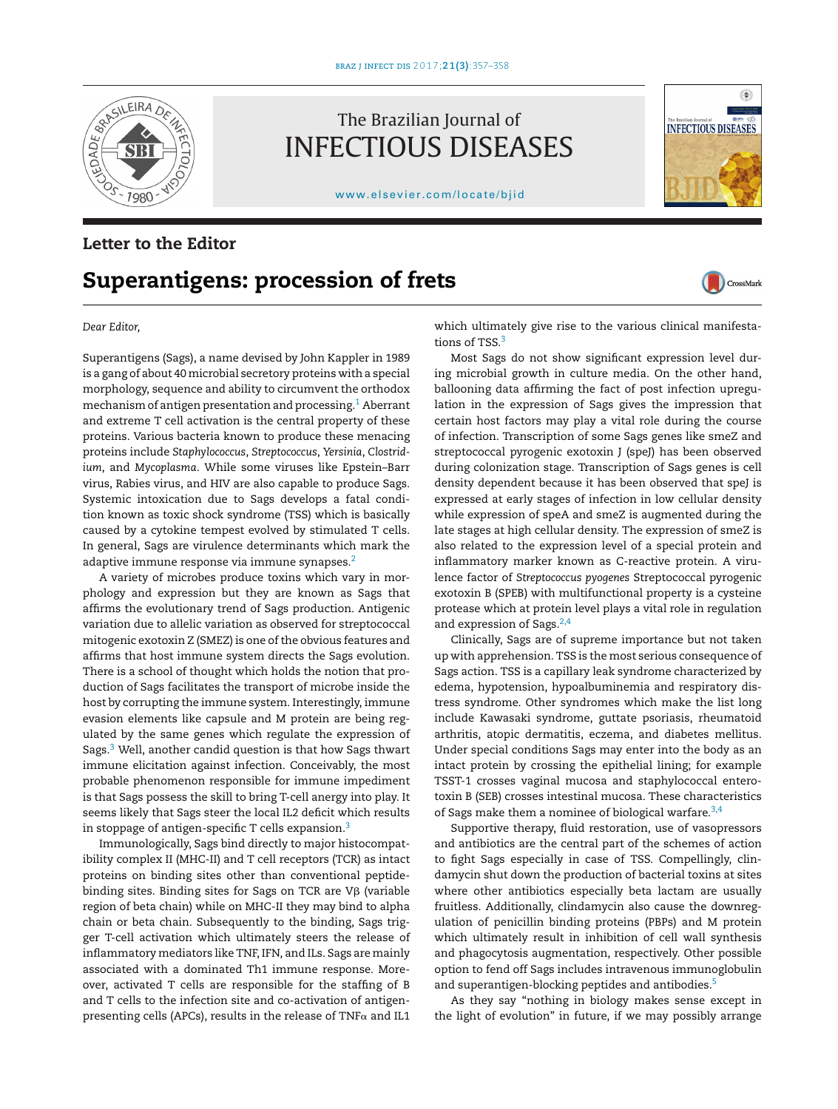

The Brazilian Journal of INFECTIOUS DISEASES

[www.elsevier.com/locate/bjid](http://www.elsevier.com/locate/bjid)

## **Letter to the Editor**

## **Superantigens: procession of frets**



**INFECTIOUS DISEASES** 

 $\bullet$ 

CrossMark

*Dear Editor,*

Superantigens (Sags), a name devised by John Kappler in 1989 is a gang of about 40 microbial secretory proteins with a special morphology, sequence and ability to circumvent the orthodox mechanism of antigen presentation and processing[.1](#page-1-0) Aberrant and extreme T cell activation is the central property of these proteins. Various bacteria known to produce these menacing proteins include *Staphylococcus*, *Streptococcus*, *Yersinia*, *Clostridium*, and *Mycoplasma*. While some viruses like Epstein–Barr virus, Rabies virus, and HIV are also capable to produce Sags. Systemic intoxication due to Sags develops a fatal condition known as toxic shock syndrome (TSS) which is basically caused by a cytokine tempest evolved by stimulated T cells. In general, Sags are virulence determinants which mark the adaptive immune response via immune synapses.<sup>2</sup>

A variety of microbes produce toxins which vary in morphology and expression but they are known as Sags that affirms the evolutionary trend of Sags production. Antigenic variation due to allelic variation as observed for streptococcal mitogenic exotoxin Z (SMEZ) is one of the obvious features and affirms that host immune system directs the Sags evolution. There is a school of thought which holds the notion that production of Sags facilitates the transport of microbe inside the host by corrupting the immune system. Interestingly, immune evasion elements like capsule and M protein are being regulated by the same genes which regulate the expression of Sags.[3](#page-1-0) Well, another candid question is that how Sags thwart immune elicitation against infection. Conceivably, the most probable phenomenon responsible for immune impediment is that Sags possess the skill to bring T-cell anergy into play. It seems likely that Sags steer the local IL2 deficit which results in stoppage of antigen-specific  $T$  cells expansion.<sup>[3](#page-1-0)</sup>

Immunologically, Sags bind directly to major histocompatibility complex II (MHC-II) and T cell receptors (TCR) as intact proteins on binding sites other than conventional peptidebinding sites. Binding sites for Sags on TCR are Vβ (variable region of beta chain) while on MHC-II they may bind to alpha chain or beta chain. Subsequently to the binding, Sags trigger T-cell activation which ultimately steers the release of inflammatory mediators like TNF, IFN, and ILs. Sags are mainly associated with a dominated Th1 immune response. Moreover, activated T cells are responsible for the staffing of B and T cells to the infection site and co-activation of antigenpresenting cells (APCs), results in the release of TNF $\alpha$  and IL1 which ultimately give rise to the various clinical manifesta-tions of TSS.<sup>[3](#page-1-0)</sup>

Most Sags do not show significant expression level during microbial growth in culture media. On the other hand, ballooning data affirming the fact of post infection upregulation in the expression of Sags gives the impression that certain host factors may play a vital role during the course of infection. Transcription of some Sags genes like smeZ and streptococcal pyrogenic exotoxin J (speJ) has been observed during colonization stage. Transcription of Sags genes is cell density dependent because it has been observed that speJ is expressed at early stages of infection in low cellular density while expression of speA and smeZ is augmented during the late stages at high cellular density. The expression of smeZ is also related to the expression level of a special protein and inflammatory marker known as C-reactive protein. A virulence factor of *Streptococcus pyogenes* Streptococcal pyrogenic exotoxin B (SPEB) with multifunctional property is a cysteine protease which at protein level plays a vital role in regulation and expression of Sags. $2,4$ 

Clinically, Sags are of supreme importance but not taken up with apprehension. TSS is the most serious consequence of Sags action. TSS is a capillary leak syndrome characterized by edema, hypotension, hypoalbuminemia and respiratory distress syndrome. Other syndromes which make the list long include Kawasaki syndrome, guttate psoriasis, rheumatoid arthritis, atopic dermatitis, eczema, and diabetes mellitus. Under special conditions Sags may enter into the body as an intact protein by crossing the epithelial lining; for example TSST-1 crosses vaginal mucosa and staphylococcal enterotoxin B (SEB) crosses intestinal mucosa. These characteristics of Sags make them a nominee of biological warfare. $3,4$ 

Supportive therapy, fluid restoration, use of vasopressors and antibiotics are the central part of the schemes of action to fight Sags especially in case of TSS. Compellingly, clindamycin shut down the production of bacterial toxins at sites where other antibiotics especially beta lactam are usually fruitless. Additionally, clindamycin also cause the downregulation of penicillin binding proteins (PBPs) and M protein which ultimately result in inhibition of cell wall synthesis and phagocytosis augmentation, respectively. Other possible option to fend off Sags includes intravenous immunoglobulin and superantigen-blocking peptides and antibodies.<sup>[5](#page-1-0)</sup>

As they say "nothing in biology makes sense except in the light of evolution" in future, if we may possibly arrange